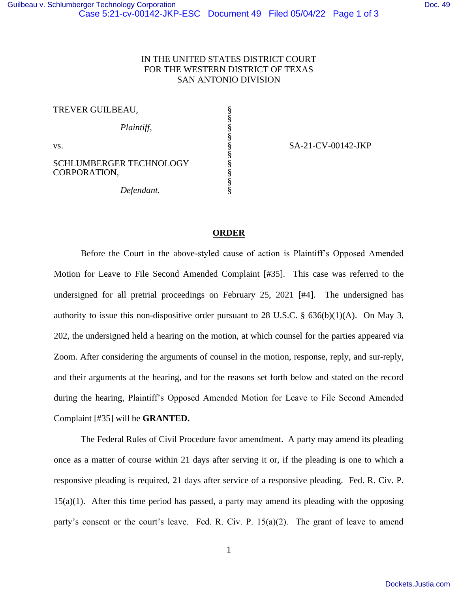## IN THE UNITED STATES DISTRICT COURT FOR THE WESTERN DISTRICT OF TEXAS SAN ANTONIO DIVISION

§ § § § § § § § § §

TREVER GUILBEAU,

 *Plaintiff,*

vs.

SCHLUMBERGER TECHNOLOGY CORPORATION,

 *Defendant.*

SA-21-CV-00142-JKP

## **ORDER**

Before the Court in the above-styled cause of action is Plaintiff's Opposed Amended Motion for Leave to File Second Amended Complaint [#35]. This case was referred to the undersigned for all pretrial proceedings on February 25, 2021 [#4]. The undersigned has authority to issue this non-dispositive order pursuant to 28 U.S.C.  $\S$  636(b)(1)(A). On May 3, 202, the undersigned held a hearing on the motion, at which counsel for the parties appeared via Zoom. After considering the arguments of counsel in the motion, response, reply, and sur-reply, and their arguments at the hearing, and for the reasons set forth below and stated on the record during the hearing, Plaintiff's Opposed Amended Motion for Leave to File Second Amended Complaint [#35] will be **GRANTED.**

The Federal Rules of Civil Procedure favor amendment. A party may amend its pleading once as a matter of course within 21 days after serving it or, if the pleading is one to which a responsive pleading is required, 21 days after service of a responsive pleading. Fed. R. Civ. P. 15(a)(1). After this time period has passed, a party may amend its pleading with the opposing party's consent or the court's leave. Fed. R. Civ. P. 15(a)(2). The grant of leave to amend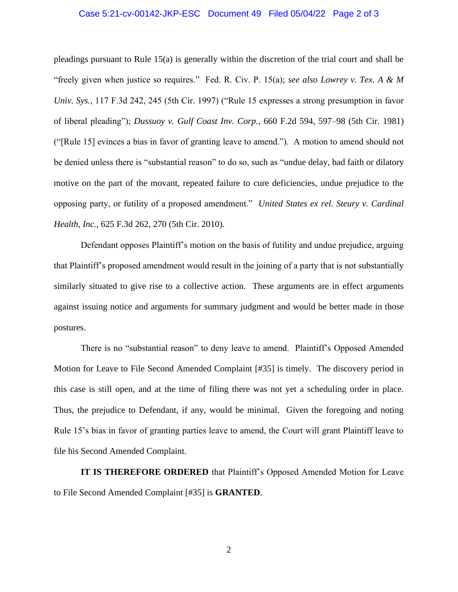## Case 5:21-cv-00142-JKP-ESC Document 49 Filed 05/04/22 Page 2 of 3

pleadings pursuant to Rule 15(a) is generally within the discretion of the trial court and shall be "freely given when justice so requires." Fed. R. Civ. P. 15(a); *see also Lowrey v. Tex. A & M Univ. Sys.*, 117 F.3d 242, 245 (5th Cir. 1997) ("Rule 15 expresses a strong presumption in favor of liberal pleading"); *Dussuoy v. Gulf Coast Inv. Corp.*, 660 F.2d 594, 597–98 (5th Cir. 1981) ("[Rule 15] evinces a bias in favor of granting leave to amend."). A motion to amend should not be denied unless there is "substantial reason" to do so, such as "undue delay, bad faith or dilatory motive on the part of the movant, repeated failure to cure deficiencies, undue prejudice to the opposing party, or futility of a proposed amendment." *United States ex rel. Steury v. Cardinal Health, Inc.*, 625 F.3d 262, 270 (5th Cir. 2010).

Defendant opposes Plaintiff's motion on the basis of futility and undue prejudice, arguing that Plaintiff's proposed amendment would result in the joining of a party that is not substantially similarly situated to give rise to a collective action. These arguments are in effect arguments against issuing notice and arguments for summary judgment and would be better made in those postures.

There is no "substantial reason" to deny leave to amend. Plaintiff's Opposed Amended Motion for Leave to File Second Amended Complaint [#35] is timely. The discovery period in this case is still open, and at the time of filing there was not yet a scheduling order in place. Thus, the prejudice to Defendant, if any, would be minimal. Given the foregoing and noting Rule 15's bias in favor of granting parties leave to amend, the Court will grant Plaintiff leave to file his Second Amended Complaint.

**IT IS THEREFORE ORDERED** that Plaintiff's Opposed Amended Motion for Leave to File Second Amended Complaint [#35] is **GRANTED**.